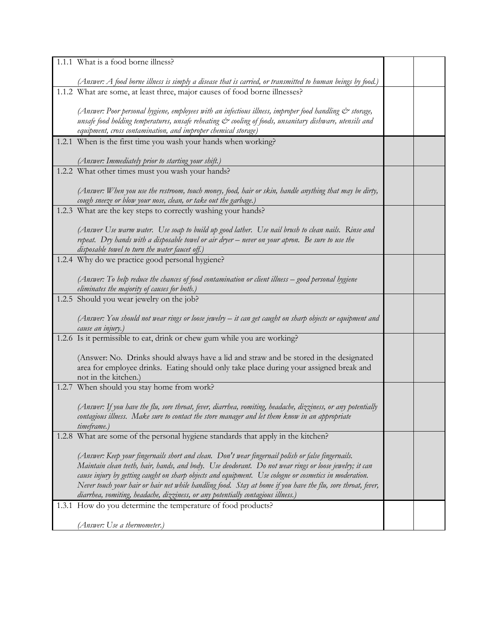| 1.1.1 What is a food borne illness?                                                                                                                                                                              |  |
|------------------------------------------------------------------------------------------------------------------------------------------------------------------------------------------------------------------|--|
| (Answer: A food borne illness is simply a disease that is carried, or transmitted to human beings by food.)                                                                                                      |  |
| 1.1.2 What are some, at least three, major causes of food borne illnesses?                                                                                                                                       |  |
|                                                                                                                                                                                                                  |  |
| (Answer: Poor personal hygiene, employees with an infectious illness, improper food handling $\dot{\mathcal{O}}$ storage,                                                                                        |  |
| unsafe food holding temperatures, unsafe reheating & cooling of foods, unsanitary dishware, utensils and                                                                                                         |  |
| equipment, cross contamination, and improper chemical storage)<br>1.2.1 When is the first time you wash your hands when working?                                                                                 |  |
|                                                                                                                                                                                                                  |  |
| (Answer: Immediately prior to starting your shift.)                                                                                                                                                              |  |
| 1.2.2 What other times must you wash your hands?                                                                                                                                                                 |  |
| (Answer: When you use the restroom, touch money, food, hair or skin, handle anything that may be dirty,                                                                                                          |  |
| cough sneeze or blow your nose, clean, or take out the garbage.)                                                                                                                                                 |  |
| 1.2.3 What are the key steps to correctly washing your hands?                                                                                                                                                    |  |
|                                                                                                                                                                                                                  |  |
| (Answer Use warm water. Use soap to build up good lather. Use nail brush to clean nails. Rinse and                                                                                                               |  |
| repeat. Dry hands with a disposable towel or air dryer – never on your apron. Be sure to use the<br>disposable towel to turn the water faucet off.)                                                              |  |
| 1.2.4 Why do we practice good personal hygiene?                                                                                                                                                                  |  |
|                                                                                                                                                                                                                  |  |
| (Answer: To help reduce the chances of food contamination or client illness – good personal hygiene                                                                                                              |  |
| eliminates the majority of causes for both.)                                                                                                                                                                     |  |
| 1.2.5 Should you wear jewelry on the job?                                                                                                                                                                        |  |
| (Answer: You should not wear rings or loose jewelry – it can get caught on sharp objects or equipment and                                                                                                        |  |
| cause an injury.)                                                                                                                                                                                                |  |
| 1.2.6 Is it permissible to eat, drink or chew gum while you are working?                                                                                                                                         |  |
|                                                                                                                                                                                                                  |  |
| (Answer: No. Drinks should always have a lid and straw and be stored in the designated<br>area for employee drinks. Eating should only take place during your assigned break and                                 |  |
| not in the kitchen.)                                                                                                                                                                                             |  |
| 1.2.7 When should you stay home from work?                                                                                                                                                                       |  |
|                                                                                                                                                                                                                  |  |
| (Answer: If you have the flu, sore throat, fever, diarrhea, vomiting, headache, dizziness, or any potentially                                                                                                    |  |
| contagious illness. Make sure to contact the store manager and let them know in an appropriate<br>timeframe.)                                                                                                    |  |
| 1.2.8 What are some of the personal hygiene standards that apply in the kitchen?                                                                                                                                 |  |
|                                                                                                                                                                                                                  |  |
| (Answer: Keep your fingernails short and clean. Don't wear fingernail polish or false fingernails.                                                                                                               |  |
| Maintain clean teeth, hair, hands, and body. Use deodorant. Do not wear rings or loose jewelry; it can<br>cause injury by getting caught on sharp objects and equipment. Use cologne or cosmetics in moderation. |  |
| Never touch your hair or hair net while handling food. Stay at home if you have the flu, sore throat, fever,                                                                                                     |  |
| diarrhea, vomiting, headache, dizziness, or any potentially contagious illness.)                                                                                                                                 |  |
| 1.3.1 How do you determine the temperature of food products?                                                                                                                                                     |  |
|                                                                                                                                                                                                                  |  |
| (Answer: Use a thermometer.)                                                                                                                                                                                     |  |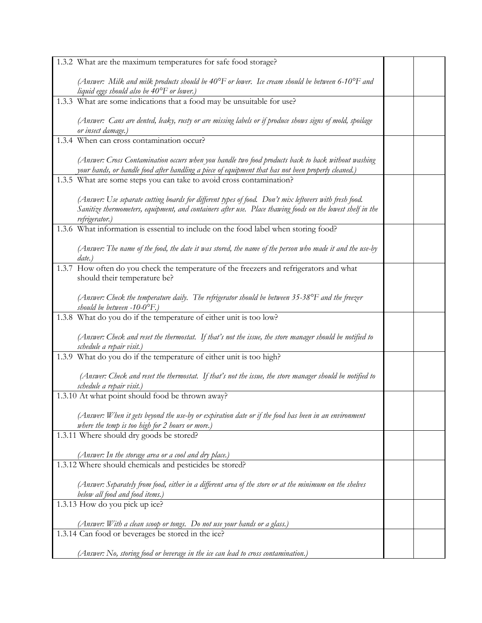| 1.3.2 What are the maximum temperatures for safe food storage?                                                                                                                                                                         |  |
|----------------------------------------------------------------------------------------------------------------------------------------------------------------------------------------------------------------------------------------|--|
| (Answer: Milk and milk products should be $40^{\circ}$ F or lower. Ice cream should be between 6-10 $^{\circ}$ F and<br>liquid eggs should also be 40°F or lower.)                                                                     |  |
| 1.3.3 What are some indications that a food may be unsuitable for use?                                                                                                                                                                 |  |
| (Answer: Cans are dented, leaky, rusty or are missing labels or if produce shows signs of mold, spoilage<br>or insect damage.)                                                                                                         |  |
| 1.3.4 When can cross contamination occur?                                                                                                                                                                                              |  |
| (Answer: Cross Contamination occurs when you handle two food products back to back without washing<br>your hands, or handle food after handling a piece of equipment that has not been properly cleaned.)                              |  |
| 1.3.5 What are some steps you can take to avoid cross contamination?                                                                                                                                                                   |  |
| (Answer: Use separate cutting boards for different types of food. Don't mix leftovers with fresh food.<br>Sanitize thermometers, equipment, and containers after use. Place thawing foods on the lowest shelf in the<br>refrigerator.) |  |
| 1.3.6 What information is essential to include on the food label when storing food?                                                                                                                                                    |  |
| (Answer: The name of the food, the date it was stored, the name of the person who made it and the use-by<br>date.)                                                                                                                     |  |
| 1.3.7 How often do you check the temperature of the freezers and refrigerators and what<br>should their temperature be?                                                                                                                |  |
| (Answer: Check the temperature daily. The refrigerator should be between $35-38^{\circ}F$ and the freezer<br>should be between $-10-0$ <sup>o</sup> F.)                                                                                |  |
| 1.3.8 What do you do if the temperature of either unit is too low?                                                                                                                                                                     |  |
| (Answer: Check and reset the thermostat. If that's not the issue, the store manager should be notified to<br>schedule a repair visit.)                                                                                                 |  |
| 1.3.9 What do you do if the temperature of either unit is too high?                                                                                                                                                                    |  |
| (Answer: Check and reset the thermostat. If that's not the issue, the store manager should be notified to<br>schedule a repair visit.)                                                                                                 |  |
| 1.3.10 At what point should food be thrown away?                                                                                                                                                                                       |  |
| (Answer: When it gets beyond the use-by or expiration date or if the food has been in an environment<br>where the temp is too high for 2 hours or more.)                                                                               |  |
| 1.3.11 Where should dry goods be stored?                                                                                                                                                                                               |  |
| (Answer: In the storage area or a cool and dry place.)                                                                                                                                                                                 |  |
| 1.3.12 Where should chemicals and pesticides be stored?                                                                                                                                                                                |  |
| (Answer: Separately from food, either in a different area of the store or at the minimum on the shelves<br>below all food and food items.)                                                                                             |  |
| 1.3.13 How do you pick up ice?                                                                                                                                                                                                         |  |
| (Answer: With a clean scoop or tongs. Do not use your hands or a glass.)                                                                                                                                                               |  |
| 1.3.14 Can food or beverages be stored in the ice?                                                                                                                                                                                     |  |
| (Answer: No, storing food or beverage in the ice can lead to cross contamination.)                                                                                                                                                     |  |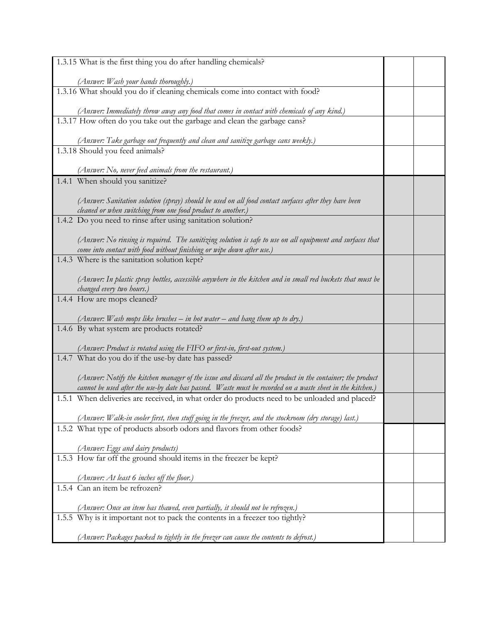| 1.3.15 What is the first thing you do after handling chemicals?                                                                                                                                                         |  |
|-------------------------------------------------------------------------------------------------------------------------------------------------------------------------------------------------------------------------|--|
| (Answer: Wash your hands thoroughly.)                                                                                                                                                                                   |  |
| 1.3.16 What should you do if cleaning chemicals come into contact with food?                                                                                                                                            |  |
| (Answer: Immediately throw away any food that comes in contact with chemicals of any kind.)                                                                                                                             |  |
| 1.3.17 How often do you take out the garbage and clean the garbage cans?                                                                                                                                                |  |
| (Answer: Take garbage out frequently and clean and sanitize garbage cans weekly.)                                                                                                                                       |  |
| 1.3.18 Should you feed animals?                                                                                                                                                                                         |  |
| (Answer: No, never feed animals from the restaurant.)                                                                                                                                                                   |  |
| 1.4.1 When should you sanitize?                                                                                                                                                                                         |  |
|                                                                                                                                                                                                                         |  |
| (Answer: Sanitation solution (spray) should be used on all food contact surfaces after they have been                                                                                                                   |  |
| cleaned or when switching from one food product to another.)<br>1.4.2 Do you need to rinse after using sanitation solution?                                                                                             |  |
|                                                                                                                                                                                                                         |  |
| (Answer: No rinsing is required. The sanitizing solution is safe to use on all equipment and surfaces that<br>come into contact with food without finishing or wipe down after use.)                                    |  |
| 1.4.3 Where is the sanitation solution kept?                                                                                                                                                                            |  |
| (Answer: In plastic spray bottles, accessible anywhere in the kitchen and in small red buckets that must be<br>changed every two hours.)                                                                                |  |
| 1.4.4 How are mops cleaned?                                                                                                                                                                                             |  |
| (Answer: Wash mops like brushes – in hot water – and hang them up to dry.)                                                                                                                                              |  |
| 1.4.6 By what system are products rotated?                                                                                                                                                                              |  |
|                                                                                                                                                                                                                         |  |
| (Answer: Product is rotated using the FIFO or first-in, first-out system.)<br>1.4.7 What do you do if the use-by date has passed?                                                                                       |  |
|                                                                                                                                                                                                                         |  |
| (Answer: Notify the kitchen manager of the issue and discard all the product in the container; the product<br>cannot be used after the use-by date has passed. Waste must be recorded on a waste sheet in the kitchen.) |  |
| 1.5.1 When deliveries are received, in what order do products need to be unloaded and placed?                                                                                                                           |  |
| (Answer: Walk-in cooler first, then stuff going in the freezer, and the stockroom (dry storage) last.)                                                                                                                  |  |
| 1.5.2 What type of products absorb odors and flavors from other foods?                                                                                                                                                  |  |
|                                                                                                                                                                                                                         |  |
| (Answer: Eggs and dairy products)                                                                                                                                                                                       |  |
| 1.5.3 How far off the ground should items in the freezer be kept?                                                                                                                                                       |  |
|                                                                                                                                                                                                                         |  |
| (Answer: At least 6 inches off the floor.)<br>1.5.4 Can an item be refrozen?                                                                                                                                            |  |
|                                                                                                                                                                                                                         |  |
| (Answer: Once an item has thawed, even partially, it should not be refrozen.)                                                                                                                                           |  |
| 1.5.5 Why is it important not to pack the contents in a freezer too tightly?                                                                                                                                            |  |
| (Answer: Packages packed to tightly in the freezer can cause the contents to defrost.)                                                                                                                                  |  |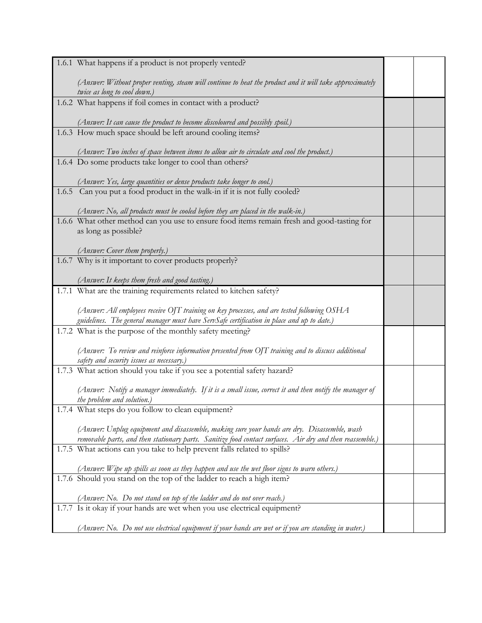| 1.6.1 What happens if a product is not properly vented?                                                                                                                               |  |
|---------------------------------------------------------------------------------------------------------------------------------------------------------------------------------------|--|
| (Answer: Without proper venting, steam will continue to heat the product and it will take approximately<br>twice as long to cool down.)                                               |  |
| 1.6.2 What happens if foil comes in contact with a product?                                                                                                                           |  |
| (Answer: It can cause the product to become discoloured and possibly spoil.)                                                                                                          |  |
| 1.6.3 How much space should be left around cooling items?                                                                                                                             |  |
| (Answer: Two inches of space between items to allow air to circulate and cool the product.)<br>1.6.4 Do some products take longer to cool than others?                                |  |
|                                                                                                                                                                                       |  |
| (Answer: Yes, large quantities or dense products take longer to cool.)<br>1.6.5 Can you put a food product in the walk-in if it is not fully cooled?                                  |  |
| (Answer: No, all products must be cooled before they are placed in the walk-in.)                                                                                                      |  |
| 1.6.6 What other method can you use to ensure food items remain fresh and good-tasting for                                                                                            |  |
| as long as possible?                                                                                                                                                                  |  |
| (Answer: Cover them properly.)                                                                                                                                                        |  |
| 1.6.7 Why is it important to cover products properly?                                                                                                                                 |  |
| (Answer: It keeps them fresh and good tasting.)                                                                                                                                       |  |
| 1.7.1 What are the training requirements related to kitchen safety?                                                                                                                   |  |
| (Answer: All employees receive OJT training on key processes, and are tested following OSHA                                                                                           |  |
| guidelines. The general manager must have ServSafe certification in place and up to date.)<br>1.7.2 What is the purpose of the monthly safety meeting?                                |  |
|                                                                                                                                                                                       |  |
| (Answer: To review and reinforce information presented from OJT training and to discuss additional<br>safety and security issues as necessary.)                                       |  |
| 1.7.3 What action should you take if you see a potential safety hazard?                                                                                                               |  |
| (Answer: Notify a manager immediately. If it is a small issue, correct it and then notify the manager of                                                                              |  |
| the problem and solution.)                                                                                                                                                            |  |
| 1.7.4 What steps do you follow to clean equipment?                                                                                                                                    |  |
| (Answer: Unplug equipment and disassemble, making sure your hands are dry. Disassemble, wash                                                                                          |  |
| removable parts, and then stationary parts. Sanitize food contact surfaces. Air dry and then reassemble.)<br>1.7.5 What actions can you take to help prevent falls related to spills? |  |
|                                                                                                                                                                                       |  |
| (Answer: Wipe up spills as soon as they happen and use the wet floor signs to warn others.)                                                                                           |  |
| 1.7.6 Should you stand on the top of the ladder to reach a high item?                                                                                                                 |  |
| (Answer: No. Do not stand on top of the ladder and do not over reach.)                                                                                                                |  |
| 1.7.7 Is it okay if your hands are wet when you use electrical equipment?                                                                                                             |  |
| (Answer: No.  Do not use electrical equipment if your hands are wet or if you are standing in water.)                                                                                 |  |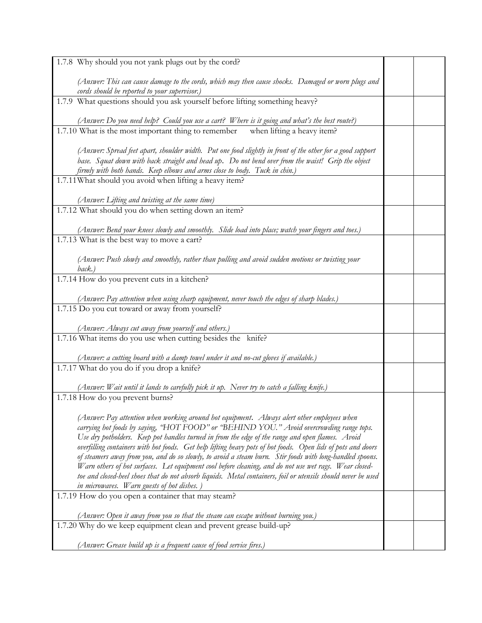| 1.7.8 Why should you not yank plugs out by the cord?                                                                                                                                                             |  |
|------------------------------------------------------------------------------------------------------------------------------------------------------------------------------------------------------------------|--|
| (Answer: This can cause damage to the cords, which may then cause shocks. Damaged or worn plugs and<br>cords should be reported to your supervisor.)                                                             |  |
| 1.7.9 What questions should you ask yourself before lifting something heavy?                                                                                                                                     |  |
|                                                                                                                                                                                                                  |  |
| (Answer: Do you need help? Could you use a cart? Where is it going and what's the best route?)<br>1.7.10 What is the most important thing to remember<br>when lifting a heavy item?                              |  |
|                                                                                                                                                                                                                  |  |
| (Answer: Spread feet apart, shoulder width. Put one food slightly in front of the other for a good support                                                                                                       |  |
| base. Squat down with back straight and head up. Do not bend over from the waist! Grip the object<br>firmly with both hands. Keep elbows and arms close to body. Tuck in chin.)                                  |  |
| 1.7.11 What should you avoid when lifting a heavy item?                                                                                                                                                          |  |
|                                                                                                                                                                                                                  |  |
| (Answer: Lifting and twisting at the same time)<br>1.7.12 What should you do when setting down an item?                                                                                                          |  |
|                                                                                                                                                                                                                  |  |
| (Answer: Bend your knees slowly and smoothly. Slide load into place; watch your fingers and toes.)                                                                                                               |  |
| 1.7.13 What is the best way to move a cart?                                                                                                                                                                      |  |
| (Answer: Push slowly and smoothly, rather than pulling and avoid sudden motions or twisting your                                                                                                                 |  |
| $\mathit{back.}$ )                                                                                                                                                                                               |  |
| 1.7.14 How do you prevent cuts in a kitchen?                                                                                                                                                                     |  |
| (Answer: Pay attention when using sharp equipment, never touch the edges of sharp blades.)                                                                                                                       |  |
| 1.7.15 Do you cut toward or away from yourself?                                                                                                                                                                  |  |
| (Answer: Always cut away from yourself and others.)                                                                                                                                                              |  |
| 1.7.16 What items do you use when cutting besides the knife?                                                                                                                                                     |  |
|                                                                                                                                                                                                                  |  |
| (Answer: a cutting board with a damp towel under it and no-cut gloves if available.)<br>1.7.17 What do you do if you drop a knife?                                                                               |  |
|                                                                                                                                                                                                                  |  |
| (Answer: Wait until it lands to carefully pick it up. Never try to catch a falling knife.)                                                                                                                       |  |
| 1.7.18 How do you prevent burns?                                                                                                                                                                                 |  |
| (Answer: Pay attention when working around hot equipment. Always alert other employees when                                                                                                                      |  |
| carrying hot foods by saying, "HOT FOOD" or "BEHIND YOU." Avoid overcrowding range tops.                                                                                                                         |  |
| Use dry potholders. Keep pot handles turned in from the edge of the range and open flames. Avoid<br>overfilling containers with hot foods. Get help lifting heavy pots of hot foods. Open lids of pots and doors |  |
| of steamers away from you, and do so slowly, to avoid a steam burn. Stir foods with long-handled spoons.                                                                                                         |  |
| Warn others of hot surfaces. Let equipment cool before cleaning, and do not use wet rags. Wear closed-                                                                                                           |  |
| toe and closed-heel shoes that do not absorb liquids. Metal containers, foil or utensils should never be used<br>in microwaves. Warn guests of hot dishes.)                                                      |  |
| 1.7.19 How do you open a container that may steam?                                                                                                                                                               |  |
|                                                                                                                                                                                                                  |  |
| (Answer: Open it away from you so that the steam can escape without burning you.)<br>1.7.20 Why do we keep equipment clean and prevent grease build-up?                                                          |  |
|                                                                                                                                                                                                                  |  |
| (Answer: Grease build up is a frequent cause of food service fires.)                                                                                                                                             |  |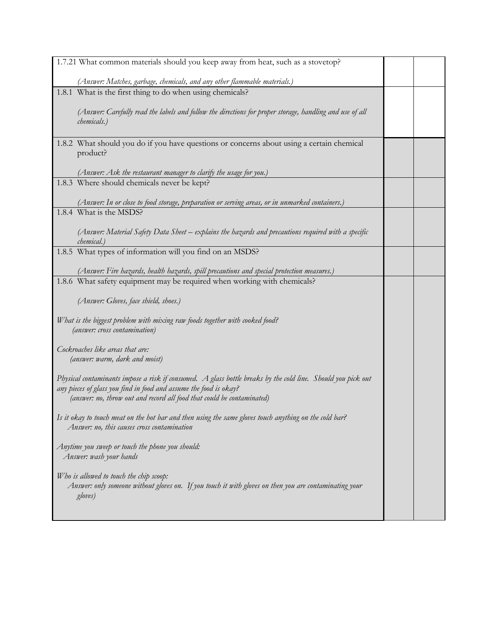| 1.7.21 What common materials should you keep away from heat, such as a stovetop?                                                                                                                                                                            |  |
|-------------------------------------------------------------------------------------------------------------------------------------------------------------------------------------------------------------------------------------------------------------|--|
| (Answer: Matches, garbage, chemicals, and any other flammable materials.)                                                                                                                                                                                   |  |
| 1.8.1 What is the first thing to do when using chemicals?                                                                                                                                                                                                   |  |
| (Answer: Carefully read the labels and follow the directions for proper storage, handling and use of all<br>chemicals.)                                                                                                                                     |  |
| 1.8.2 What should you do if you have questions or concerns about using a certain chemical<br>product?                                                                                                                                                       |  |
| (Answer: Ask the restaurant manager to clarify the usage for you.)                                                                                                                                                                                          |  |
| 1.8.3 Where should chemicals never be kept?                                                                                                                                                                                                                 |  |
| (Answer: In or close to food storage, preparation or serving areas, or in unmarked containers.)                                                                                                                                                             |  |
| 1.8.4 What is the MSDS?                                                                                                                                                                                                                                     |  |
| (Answer: Material Safety Data Sheet – explains the hazards and precautions required with a specific<br>chemical.)                                                                                                                                           |  |
| 1.8.5 What types of information will you find on an MSDS?                                                                                                                                                                                                   |  |
| (Answer: Fire hazards, health hazards, spill precautions and special protection measures.)<br>1.8.6 What safety equipment may be required when working with chemicals?                                                                                      |  |
| (Answer: Gloves, face shield, shoes.)                                                                                                                                                                                                                       |  |
| What is the biggest problem with mixing raw foods together with cooked food?<br>(answer: cross contamination)                                                                                                                                               |  |
| Cockroaches like areas that are:<br>(answer: warm, dark and moist)                                                                                                                                                                                          |  |
| Physical contaminants impose a risk if consumed. A glass bottle breaks by the cold line. Should you pick out<br>any pieces of glass you find in food and assume the food is okay?<br>(answer: no, throw out and record all food that could be contaminated) |  |
| Is it okay to touch meat on the hot bar and then using the same gloves touch anything on the cold bar?<br>Answer: no, this causes cross contamination                                                                                                       |  |
| Anytime you sweep or touch the phone you should:<br>Answer: wash your hands                                                                                                                                                                                 |  |
| Who is allowed to touch the chip scoop:<br>Answer: only someone without gloves on. If you touch it with gloves on then you are contaminating your<br>gloves)                                                                                                |  |
|                                                                                                                                                                                                                                                             |  |